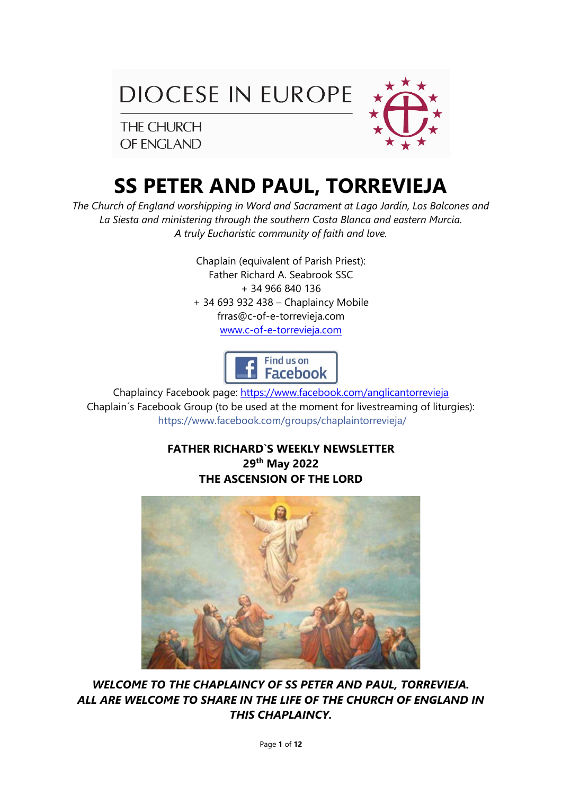

THE CHURCH OF FNGI AND



# **SS PETER AND PAUL, TORREVIEJA**

*The Church of England worshipping in Word and Sacrament at Lago Jardín, Los Balcones and La Siesta and ministering through the southern Costa Blanca and eastern Murcia. A truly Eucharistic community of faith and love.*

> Chaplain (equivalent of Parish Priest): Father Richard A. Seabrook SSC + 34 966 840 136 + 34 693 932 438 – Chaplaincy Mobile frras@c-of-e-torrevieja.com [www.c-of-e-torrevieja.com](http://www.c-of-e-torrevieja.com/)



Chaplaincy Facebook page: https://www.facebook.com/anglicantorrevieja Chaplain´s Facebook Group (to be used at the moment for livestreaming of liturgies): <https://www.facebook.com/groups/chaplaintorrevieja/>

> **FATHER RICHARD`S WEEKLY NEWSLETTER 29th May 2022 THE ASCENSION OF THE LORD**



*WELCOME TO THE CHAPLAINCY OF SS PETER AND PAUL, TORREVIEJA. ALL ARE WELCOME TO SHARE IN THE LIFE OF THE CHURCH OF ENGLAND IN THIS CHAPLAINCY.*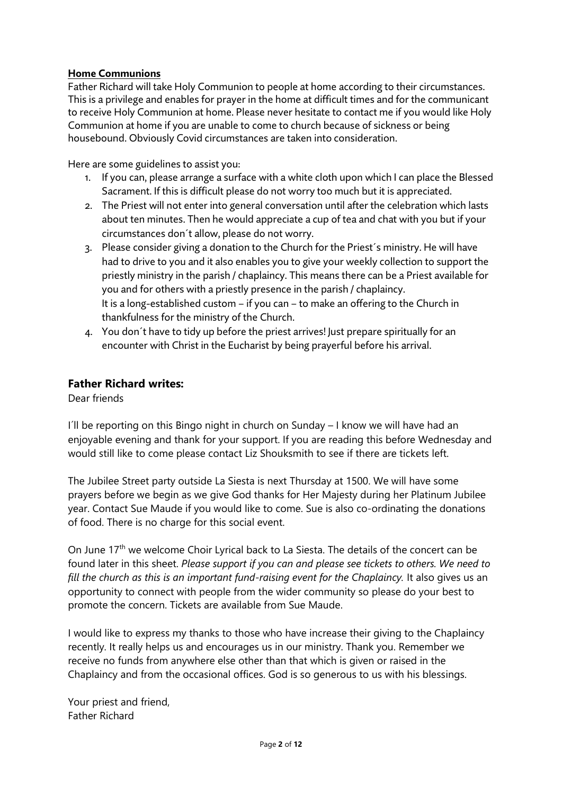#### **Home Communions**

Father Richard will take Holy Communion to people at home according to their circumstances. This is a privilege and enables for prayer in the home at difficult times and for the communicant to receive Holy Communion at home. Please never hesitate to contact me if you would like Holy Communion at home if you are unable to come to church because of sickness or being housebound. Obviously Covid circumstances are taken into consideration.

Here are some guidelines to assist you:

- 1. If you can, please arrange a surface with a white cloth upon which I can place the Blessed Sacrament. If this is difficult please do not worry too much but it is appreciated.
- 2. The Priest will not enter into general conversation until after the celebration which lasts about ten minutes. Then he would appreciate a cup of tea and chat with you but if your circumstances don´t allow, please do not worry.
- 3. Please consider giving a donation to the Church for the Priest´s ministry. He will have had to drive to you and it also enables you to give your weekly collection to support the priestly ministry in the parish / chaplaincy. This means there can be a Priest available for you and for others with a priestly presence in the parish / chaplaincy. It is a long-established custom – if you can – to make an offering to the Church in thankfulness for the ministry of the Church.
- 4. You don´t have to tidy up before the priest arrives! Just prepare spiritually for an encounter with Christ in the Eucharist by being prayerful before his arrival.

#### **Father Richard writes:**

Dear friends

I´ll be reporting on this Bingo night in church on Sunday – I know we will have had an enjoyable evening and thank for your support. If you are reading this before Wednesday and would still like to come please contact Liz Shouksmith to see if there are tickets left.

The Jubilee Street party outside La Siesta is next Thursday at 1500. We will have some prayers before we begin as we give God thanks for Her Majesty during her Platinum Jubilee year. Contact Sue Maude if you would like to come. Sue is also co-ordinating the donations of food. There is no charge for this social event.

On June 17<sup>th</sup> we welcome Choir Lyrical back to La Siesta. The details of the concert can be found later in this sheet. *Please support if you can and please see tickets to others. We need to fill the church as this is an important fund-raising event for the Chaplaincy.* It also gives us an opportunity to connect with people from the wider community so please do your best to promote the concern. Tickets are available from Sue Maude.

I would like to express my thanks to those who have increase their giving to the Chaplaincy recently. It really helps us and encourages us in our ministry. Thank you. Remember we receive no funds from anywhere else other than that which is given or raised in the Chaplaincy and from the occasional offices. God is so generous to us with his blessings.

Your priest and friend, Father Richard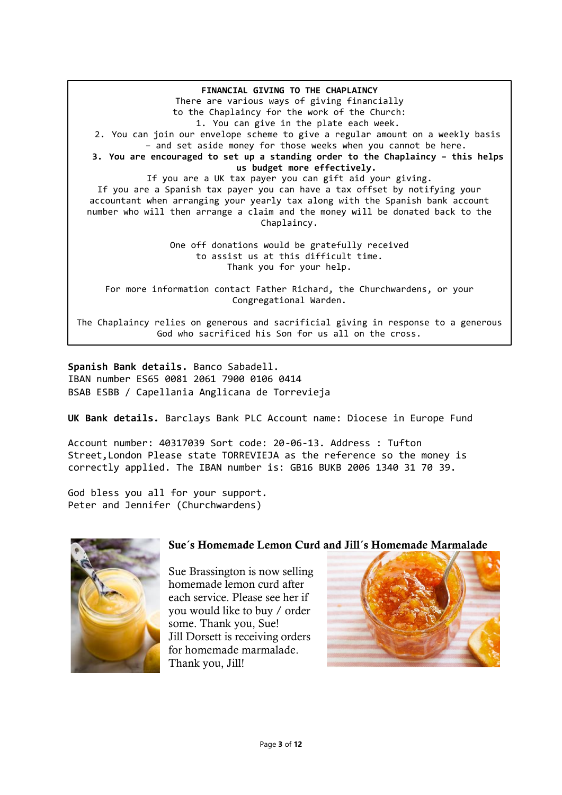**FINANCIAL GIVING TO THE CHAPLAINCY** There are various ways of giving financially to the Chaplaincy for the work of the Church: 1. You can give in the plate each week. 2. You can join our envelope scheme to give a regular amount on a weekly basis – and set aside money for those weeks when you cannot be here. **3. You are encouraged to set up a standing order to the Chaplaincy – this helps us budget more effectively.** If you are a UK tax payer you can gift aid your giving. If you are a Spanish tax payer you can have a tax offset by notifying your accountant when arranging your yearly tax along with the Spanish bank account number who will then arrange a claim and the money will be donated back to the Chaplaincy. One off donations would be gratefully received to assist us at this difficult time. Thank you for your help. For more information contact Father Richard, the Churchwardens, or your Congregational Warden.

The Chaplaincy relies on generous and sacrificial giving in response to a generous God who sacrificed his Son for us all on the cross.

**Spanish Bank details.** Banco Sabadell. IBAN number ES65 0081 2061 7900 0106 0414 BSAB ESBB / Capellania Anglicana de Torrevieja

**UK Bank details.** Barclays Bank PLC Account name: Diocese in Europe Fund

Account number: 40317039 Sort code: 20-06-13. Address : Tufton Street,London Please state TORREVIEJA as the reference so the money is correctly applied. The IBAN number is: GB16 BUKB 2006 1340 31 70 39.

God bless you all for your support. Peter and Jennifer (Churchwardens)



#### Sue´s Homemade Lemon Curd and Jill´s Homemade Marmalade

Sue Brassington is now selling homemade lemon curd after each service. Please see her if you would like to buy / order some. Thank you, Sue! Jill Dorsett is receiving orders for homemade marmalade. Thank you, Jill!

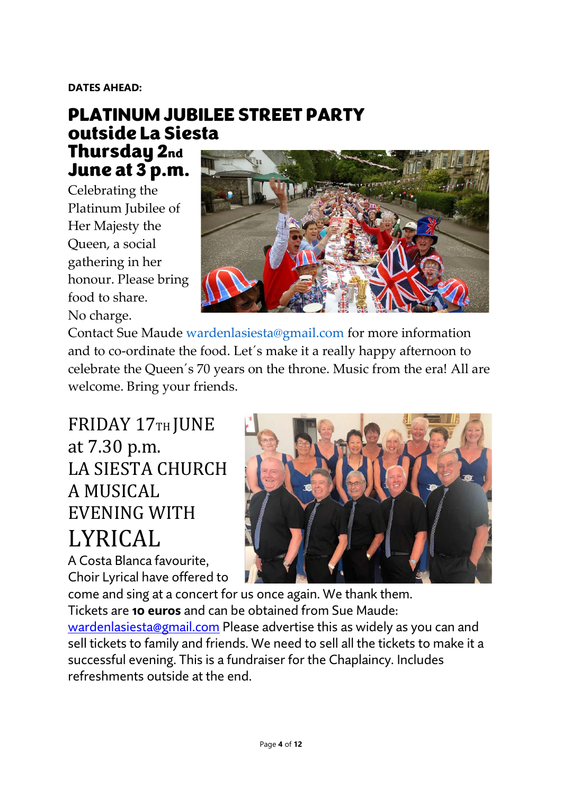#### **DATES AHEAD:**

# PLATINUM JUBILEE STREET PARTY outside La Siesta

## Thursday 2nd June at 3 p.m.

Celebrating the Platinum Jubilee of Her Majesty the Queen, a social gathering in her honour. Please bring food to share. No charge.



Contact Sue Maude wardenlasiesta@gmail.com for more information and to co-ordinate the food. Let´s make it a really happy afternoon to celebrate the Queen´s 70 years on the throne. Music from the era! All are welcome. Bring your friends.

FRIDAY 17TH JUNE at 7.30 p.m. LA SIESTA CHURCH A MUSICAL EVENING WITH LYRICAL

A Costa Blanca favourite, Choir Lyrical have offered to



come and sing at a concert for us once again. We thank them. Tickets are **10 euros** and can be obtained from Sue Maude: [wardenlasiesta@gmail.com](mailto:wardenlasiesta@gmail.com) Please advertise this as widely as you can and sell tickets to family and friends. We need to sell all the tickets to make it a successful evening. This is a fundraiser for the Chaplaincy. Includes refreshments outside at the end.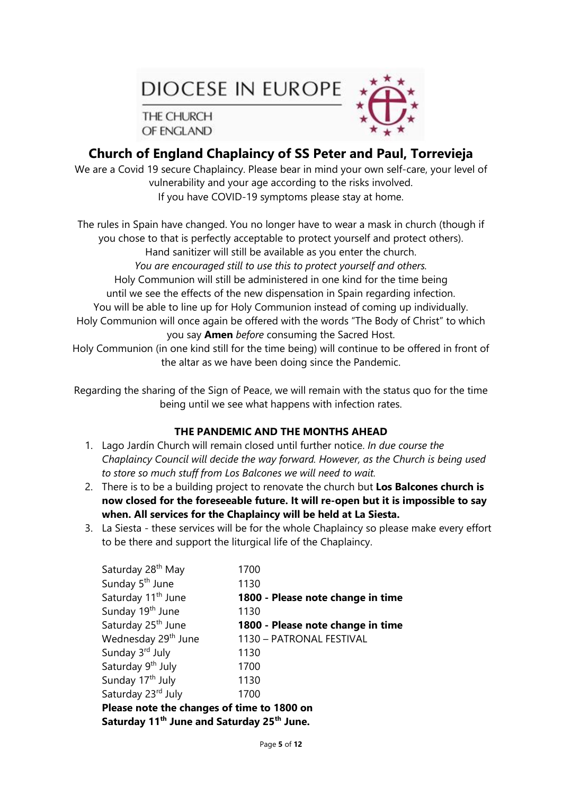# DIOCESE IN EUROPE

THE CHURCH OF ENGLAND



### **Church of England Chaplaincy of SS Peter and Paul, Torrevieja**

We are a Covid 19 secure Chaplaincy. Please bear in mind your own self-care, your level of vulnerability and your age according to the risks involved. If you have COVID-19 symptoms please stay at home.

The rules in Spain have changed. You no longer have to wear a mask in church (though if you chose to that is perfectly acceptable to protect yourself and protect others).

Hand sanitizer will still be available as you enter the church.

*You are encouraged still to use this to protect yourself and others.* Holy Communion will still be administered in one kind for the time being until we see the effects of the new dispensation in Spain regarding infection.

You will be able to line up for Holy Communion instead of coming up individually.

Holy Communion will once again be offered with the words "The Body of Christ" to which you say **Amen** *before* consuming the Sacred Host.

Holy Communion (in one kind still for the time being) will continue to be offered in front of the altar as we have been doing since the Pandemic.

Regarding the sharing of the Sign of Peace, we will remain with the status quo for the time being until we see what happens with infection rates.

#### **THE PANDEMIC AND THE MONTHS AHEAD**

- 1. Lago Jardín Church will remain closed until further notice. *In due course the Chaplaincy Council will decide the way forward. However, as the Church is being used to store so much stuff from Los Balcones we will need to wait.*
- 2. There is to be a building project to renovate the church but **Los Balcones church is now closed for the foreseeable future. It will re-open but it is impossible to say when. All services for the Chaplaincy will be held at La Siesta.**
- 3. La Siesta these services will be for the whole Chaplaincy so please make every effort to be there and support the liturgical life of the Chaplaincy.

| Saturday 28 <sup>th</sup> May              | 1700                              |  |  |  |
|--------------------------------------------|-----------------------------------|--|--|--|
|                                            |                                   |  |  |  |
| Sunday 5 <sup>th</sup> June                | 1130                              |  |  |  |
| Saturday 11 <sup>th</sup> June             | 1800 - Please note change in time |  |  |  |
| Sunday 19 <sup>th</sup> June               | 1130                              |  |  |  |
| Saturday 25 <sup>th</sup> June             | 1800 - Please note change in time |  |  |  |
| Wednesday 29 <sup>th</sup> June            | 1130 - PATRONAL FESTIVAL          |  |  |  |
| Sunday 3rd July                            | 1130                              |  |  |  |
| Saturday 9 <sup>th</sup> July              | 1700                              |  |  |  |
| Sunday 17 <sup>th</sup> July               | 1130                              |  |  |  |
| Saturday 23rd July                         | 1700                              |  |  |  |
| Please note the changes of time to 1800 on |                                   |  |  |  |

**Saturday 11th June and Saturday 25th June.**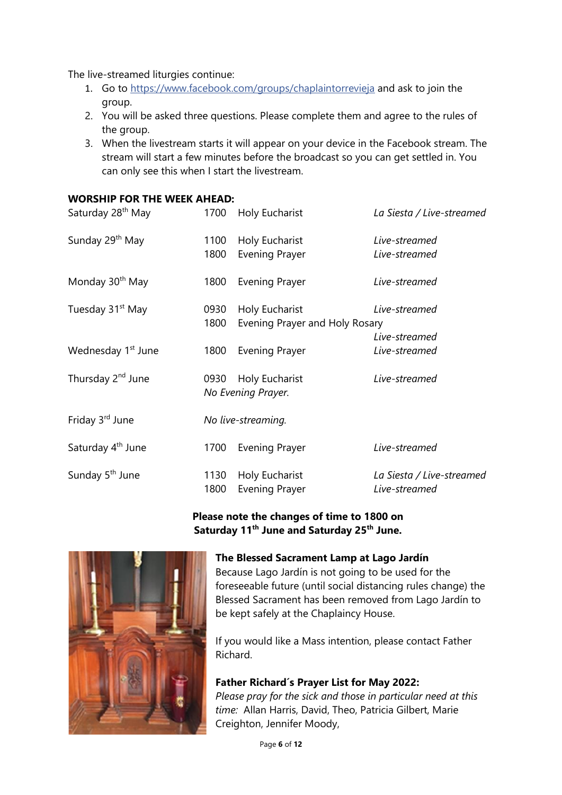The live-streamed liturgies continue:

- 1. Go to [https://www.facebook.com/groups/chaplaintorrevieja](https://www.facebook.com/groups/chaplaintorrevieja/) and ask to join the group.
- 2. You will be asked three questions. Please complete them and agree to the rules of the group.
- 3. When the livestream starts it will appear on your device in the Facebook stream. The stream will start a few minutes before the broadcast so you can get settled in. You can only see this when I start the livestream.

#### **WORSHIP FOR THE WEEK AHEAD:**

| Saturday 28 <sup>th</sup> May  | 1700         | Holy Eucharist                                   | La Siesta / Live-streamed                  |
|--------------------------------|--------------|--------------------------------------------------|--------------------------------------------|
| Sunday 29 <sup>th</sup> May    | 1100<br>1800 | Holy Eucharist<br><b>Evening Prayer</b>          | Live-streamed<br>Live-streamed             |
| Monday 30 <sup>th</sup> May    | 1800         | <b>Evening Prayer</b>                            | Live-streamed                              |
| Tuesday 31 <sup>st</sup> May   | 0930<br>1800 | Holy Eucharist<br>Evening Prayer and Holy Rosary | Live-streamed<br>Live-streamed             |
| Wednesday 1 <sup>st</sup> June | 1800         | Evening Prayer                                   | Live-streamed                              |
| Thursday 2 <sup>nd</sup> June  | 0930         | Holy Eucharist<br>No Evening Prayer.             | Live-streamed                              |
| Friday 3 <sup>rd</sup> June    |              | No live-streaming.                               |                                            |
| Saturday 4 <sup>th</sup> June  | 1700         | <b>Evening Prayer</b>                            | Live-streamed                              |
| Sunday 5 <sup>th</sup> June    | 1130<br>1800 | Holy Eucharist<br><b>Evening Prayer</b>          | La Siesta / Live-streamed<br>Live-streamed |

#### **Please note the changes of time to 1800 on Saturday 11th June and Saturday 25th June.**



#### **The Blessed Sacrament Lamp at Lago Jardín**

Because Lago Jardín is not going to be used for the foreseeable future (until social distancing rules change) the Blessed Sacrament has been removed from Lago Jardín to be kept safely at the Chaplaincy House.

If you would like a Mass intention, please contact Father Richard.

#### **Father Richard´s Prayer List for May 2022:** *Please pray for the sick and those in particular need at this time:* Allan Harris, David, Theo, Patricia Gilbert, Marie Creighton, Jennifer Moody,

Page **6** of **12**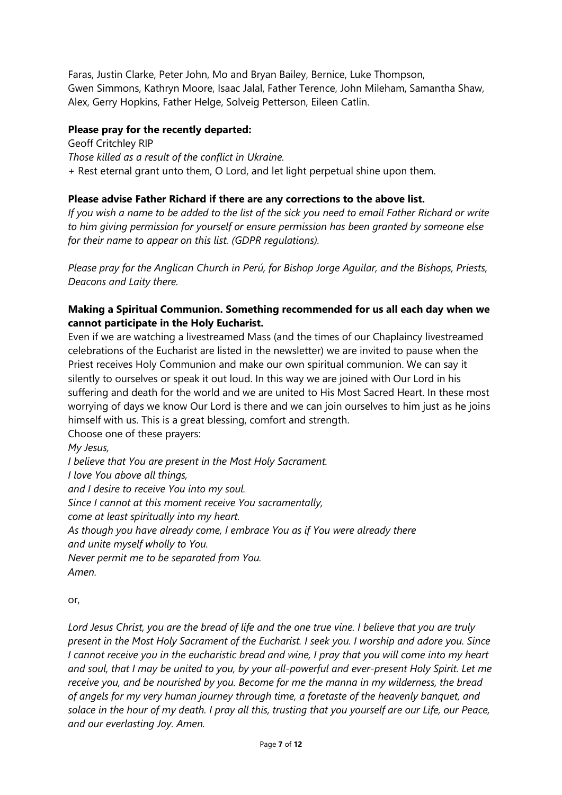Faras, Justin Clarke, Peter John, Mo and Bryan Bailey, Bernice, Luke Thompson, Gwen Simmons, Kathryn Moore, Isaac Jalal, Father Terence, John Mileham, Samantha Shaw, Alex, Gerry Hopkins, Father Helge, Solveig Petterson, Eileen Catlin.

#### **Please pray for the recently departed:**

Geoff Critchley RIP *Those killed as a result of the conflict in Ukraine.* + Rest eternal grant unto them, O Lord, and let light perpetual shine upon them.

#### **Please advise Father Richard if there are any corrections to the above list.**

*If you wish a name to be added to the list of the sick you need to email Father Richard or write to him giving permission for yourself or ensure permission has been granted by someone else for their name to appear on this list. (GDPR regulations).* 

*Please pray for the Anglican Church in Perú, for Bishop Jorge Aguilar, and the Bishops, Priests, Deacons and Laity there.*

#### **Making a Spiritual Communion. Something recommended for us all each day when we cannot participate in the Holy Eucharist.**

Even if we are watching a livestreamed Mass (and the times of our Chaplaincy livestreamed celebrations of the Eucharist are listed in the newsletter) we are invited to pause when the Priest receives Holy Communion and make our own spiritual communion. We can say it silently to ourselves or speak it out loud. In this way we are joined with Our Lord in his suffering and death for the world and we are united to His Most Sacred Heart. In these most worrying of days we know Our Lord is there and we can join ourselves to him just as he joins himself with us. This is a great blessing, comfort and strength.

Choose one of these prayers: *My Jesus, I believe that You are present in the Most Holy Sacrament. I love You above all things, and I desire to receive You into my soul. Since I cannot at this moment receive You sacramentally, come at least spiritually into my heart. As though you have already come, I embrace You as if You were already there and unite myself wholly to You. Never permit me to be separated from You. Amen.*

#### or,

*Lord Jesus Christ, you are the bread of life and the one true vine. I believe that you are truly present in the Most Holy Sacrament of the Eucharist. I seek you. I worship and adore you. Since I cannot receive you in the eucharistic bread and wine, I pray that you will come into my heart and soul, that I may be united to you, by your all-powerful and ever-present Holy Spirit. Let me receive you, and be nourished by you. Become for me the manna in my wilderness, the bread of angels for my very human journey through time, a foretaste of the heavenly banquet, and solace in the hour of my death. I pray all this, trusting that you yourself are our Life, our Peace, and our everlasting Joy. Amen.*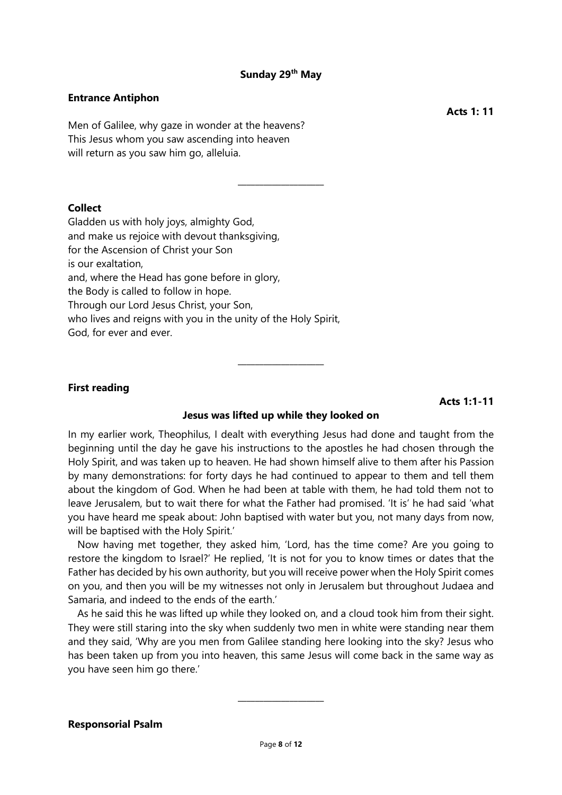\_\_\_\_\_\_\_\_\_\_\_\_\_\_\_\_\_\_\_\_

#### **Sunday 29th May**

 $\overline{\phantom{a}}$  , where  $\overline{\phantom{a}}$ 

#### **Entrance Antiphon**

Men of Galilee, why gaze in wonder at the heavens? This Jesus whom you saw ascending into heaven will return as you saw him go, alleluia.

#### **Collect**

Gladden us with holy joys, almighty God, and make us rejoice with devout thanksgiving, for the Ascension of Christ your Son is our exaltation, and, where the Head has gone before in glory, the Body is called to follow in hope. Through our Lord Jesus Christ, your Son, who lives and reigns with you in the unity of the Holy Spirit, God, for ever and ever.

#### **First reading**

**Acts 1:1-11**

#### **Jesus was lifted up while they looked on**

\_\_\_\_\_\_\_\_\_\_\_\_\_\_\_\_\_\_\_\_

In my earlier work, Theophilus, I dealt with everything Jesus had done and taught from the beginning until the day he gave his instructions to the apostles he had chosen through the Holy Spirit, and was taken up to heaven. He had shown himself alive to them after his Passion by many demonstrations: for forty days he had continued to appear to them and tell them about the kingdom of God. When he had been at table with them, he had told them not to leave Jerusalem, but to wait there for what the Father had promised. 'It is' he had said 'what you have heard me speak about: John baptised with water but you, not many days from now, will be baptised with the Holy Spirit.'

Now having met together, they asked him, 'Lord, has the time come? Are you going to restore the kingdom to Israel?' He replied, 'It is not for you to know times or dates that the Father has decided by his own authority, but you will receive power when the Holy Spirit comes on you, and then you will be my witnesses not only in Jerusalem but throughout Judaea and Samaria, and indeed to the ends of the earth.'

As he said this he was lifted up while they looked on, and a cloud took him from their sight. They were still staring into the sky when suddenly two men in white were standing near them and they said, 'Why are you men from Galilee standing here looking into the sky? Jesus who has been taken up from you into heaven, this same Jesus will come back in the same way as you have seen him go there.'

**Responsorial Psalm**

**Acts 1: 11**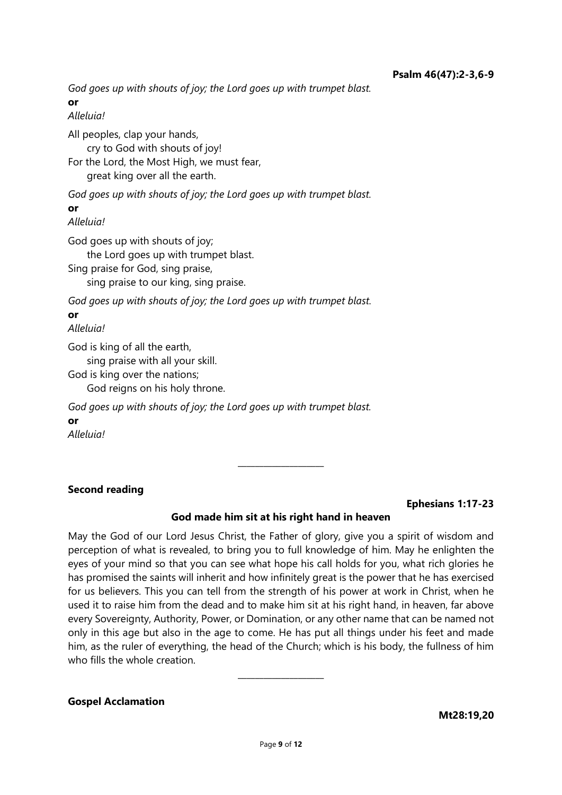*God goes up with shouts of joy; the Lord goes up with trumpet blast.* **or**

*Alleluia!*

All peoples, clap your hands,

cry to God with shouts of joy!

For the Lord, the Most High, we must fear,

great king over all the earth.

*God goes up with shouts of joy; the Lord goes up with trumpet blast.*

**or**

*Alleluia!*

God goes up with shouts of joy;

the Lord goes up with trumpet blast.

Sing praise for God, sing praise,

sing praise to our king, sing praise.

*God goes up with shouts of joy; the Lord goes up with trumpet blast.*

#### **or**

*Alleluia!*

God is king of all the earth,

sing praise with all your skill.

God is king over the nations;

God reigns on his holy throne.

*God goes up with shouts of joy; the Lord goes up with trumpet blast.* **or**

*Alleluia!*

#### **Second reading**

#### **Ephesians 1:17-23**

#### **God made him sit at his right hand in heaven**

 $\overline{\phantom{a}}$  , where  $\overline{\phantom{a}}$ 

May the God of our Lord Jesus Christ, the Father of glory, give you a spirit of wisdom and perception of what is revealed, to bring you to full knowledge of him. May he enlighten the eyes of your mind so that you can see what hope his call holds for you, what rich glories he has promised the saints will inherit and how infinitely great is the power that he has exercised for us believers. This you can tell from the strength of his power at work in Christ, when he used it to raise him from the dead and to make him sit at his right hand, in heaven, far above every Sovereignty, Authority, Power, or Domination, or any other name that can be named not only in this age but also in the age to come. He has put all things under his feet and made him, as the ruler of everything, the head of the Church; which is his body, the fullness of him who fills the whole creation.

#### **Gospel Acclamation**

 $\overline{\phantom{a}}$  , where  $\overline{\phantom{a}}$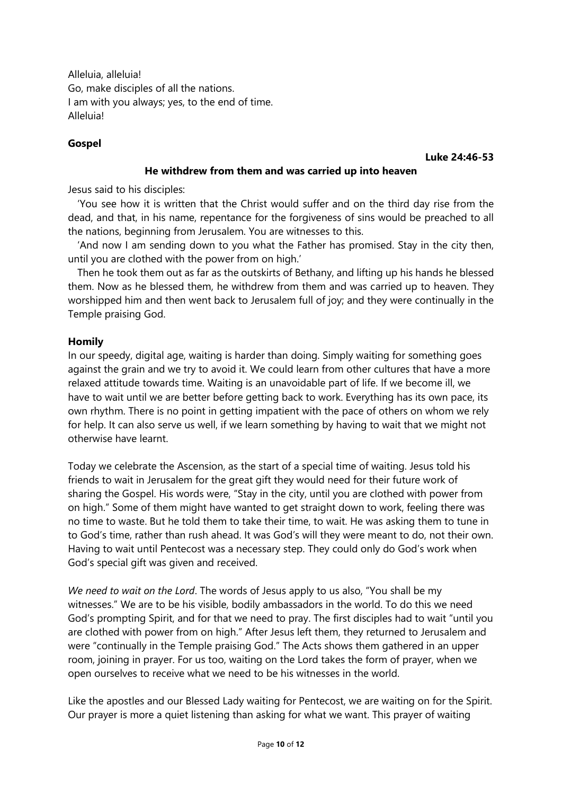Alleluia, alleluia! Go, make disciples of all the nations. I am with you always; yes, to the end of time. Alleluia!

#### **Gospel**

**Luke 24:46-53**

#### **He withdrew from them and was carried up into heaven**

Jesus said to his disciples:

'You see how it is written that the Christ would suffer and on the third day rise from the dead, and that, in his name, repentance for the forgiveness of sins would be preached to all the nations, beginning from Jerusalem. You are witnesses to this.

'And now I am sending down to you what the Father has promised. Stay in the city then, until you are clothed with the power from on high.'

Then he took them out as far as the outskirts of Bethany, and lifting up his hands he blessed them. Now as he blessed them, he withdrew from them and was carried up to heaven. They worshipped him and then went back to Jerusalem full of joy; and they were continually in the Temple praising God.

#### **Homily**

In our speedy, digital age, waiting is harder than doing. Simply waiting for something goes against the grain and we try to avoid it. We could learn from other cultures that have a more relaxed attitude towards time. Waiting is an unavoidable part of life. If we become ill, we have to wait until we are better before getting back to work. Everything has its own pace, its own rhythm. There is no point in getting impatient with the pace of others on whom we rely for help. It can also serve us well, if we learn something by having to wait that we might not otherwise have learnt.

Today we celebrate the Ascension, as the start of a special time of waiting. Jesus told his friends to wait in Jerusalem for the great gift they would need for their future work of sharing the Gospel. His words were, "Stay in the city, until you are clothed with power from on high." Some of them might have wanted to get straight down to work, feeling there was no time to waste. But he told them to take their time, to wait. He was asking them to tune in to God's time, rather than rush ahead. It was God's will they were meant to do, not their own. Having to wait until Pentecost was a necessary step. They could only do God's work when God's special gift was given and received.

*We need to wait on the Lord*. The words of Jesus apply to us also, "You shall be my witnesses." We are to be his visible, bodily ambassadors in the world. To do this we need God's prompting Spirit, and for that we need to pray. The first disciples had to wait "until you are clothed with power from on high." After Jesus left them, they returned to Jerusalem and were "continually in the Temple praising God." The Acts shows them gathered in an upper room, joining in prayer. For us too, waiting on the Lord takes the form of prayer, when we open ourselves to receive what we need to be his witnesses in the world.

Like the apostles and our Blessed Lady waiting for Pentecost, we are waiting on for the Spirit. Our prayer is more a quiet listening than asking for what we want. This prayer of waiting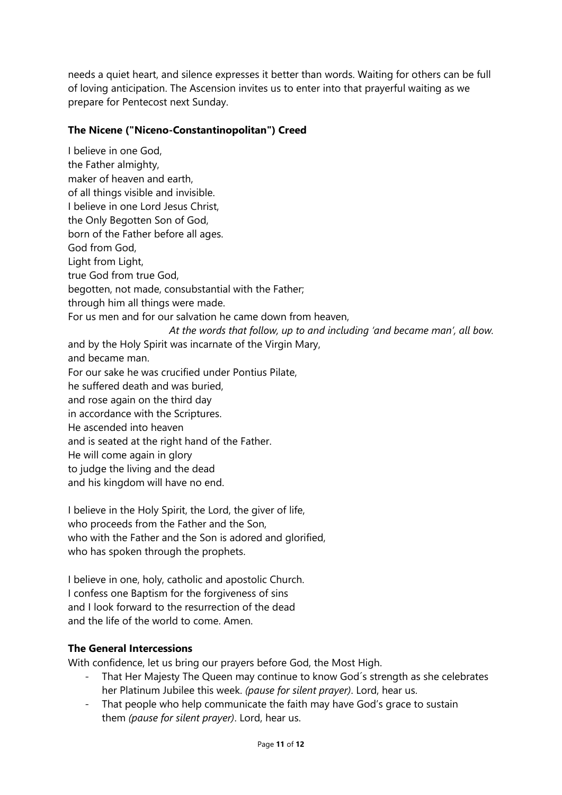needs a quiet heart, and silence expresses it better than words. Waiting for others can be full of loving anticipation. The Ascension invites us to enter into that prayerful waiting as we prepare for Pentecost next Sunday.

#### **The Nicene ("Niceno-Constantinopolitan") Creed**

I believe in one God, the Father almighty, maker of heaven and earth, of all things visible and invisible. I believe in one Lord Jesus Christ, the Only Begotten Son of God, born of the Father before all ages. God from God, Light from Light, true God from true God, begotten, not made, consubstantial with the Father; through him all things were made. For us men and for our salvation he came down from heaven, *At the words that follow, up to and including 'and became man', all bow.* and by the Holy Spirit was incarnate of the Virgin Mary, and became man. For our sake he was crucified under Pontius Pilate, he suffered death and was buried, and rose again on the third day in accordance with the Scriptures. He ascended into heaven and is seated at the right hand of the Father. He will come again in glory to judge the living and the dead and his kingdom will have no end.

I believe in the Holy Spirit, the Lord, the giver of life, who proceeds from the Father and the Son, who with the Father and the Son is adored and glorified, who has spoken through the prophets.

I believe in one, holy, catholic and apostolic Church. I confess one Baptism for the forgiveness of sins and I look forward to the resurrection of the dead and the life of the world to come. Amen.

#### **The General Intercessions**

With confidence, let us bring our prayers before God, the Most High.

- That Her Majesty The Queen may continue to know God's strength as she celebrates her Platinum Jubilee this week. *(pause for silent prayer)*. Lord, hear us.
- That people who help communicate the faith may have God's grace to sustain them *(pause for silent prayer)*. Lord, hear us.